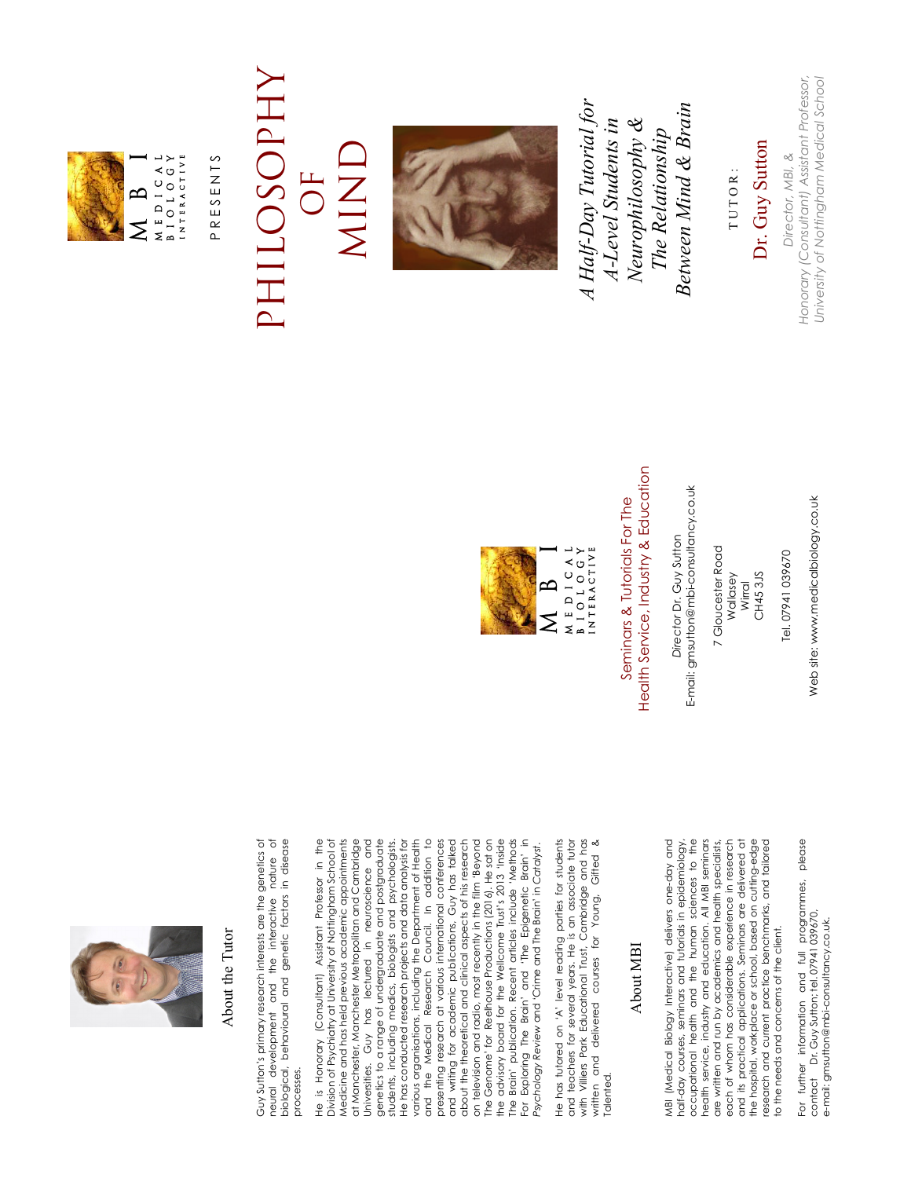

### About the Tutor About the Tutor

Guy Sutton's primary research interests are the genetics of<br>neural development and the interactive nature of<br>biological, behavioural and genetic factors in disease Guy Sutton's primary research interests are the genetics of neural development and the interactive nature of biological, behavioural and genetic factors in disease processes. processes.

He is Honorary (Consultant) Assistant Professor in the Division of Psychiatry at University of Nottingham School of Medicine and has held previous academic appointments at Manchester, Manchester Metropolitan and Cambridge Jniversities. Guy has lectured in neuroscience and Universities. Guy has lectured in neuroscience and genetics to a range of undergraduate and postgraduate students, including medics, biologists and psychologists. He has conducted research projects and data analysis for various organisations, including the Department of Health and the Medical Research Council. In addition to presenting research at various international conferences and writing for academic publications, Guy has talked about the theoretical and clinical aspects of his research on television and radio, most recently in the film 'Beyond The Genome' for Reelhouse Productions (2016). He sat on the advisory board for the Wellcome Trust's 2013 'Inside The Brain' publication. Recent articles include 'Methods For Exploring The Brain' and 'The Epigenetic Brain' in Medicine and has held previous academic appointments at Manchester, Manchester Metropolitan and Cambridge genetics to a range of undergraduate and postgraduate te has conducted research projects and data analysis for various organisations, including the Department of Health and the Medical Research Council. In addition to presenting research at various international conferences and writing for academic publications, Guy has talked on television and radio, most recently in the film 'Beyond The Genome' for Reelhouse Productions (2016). He sat on the advisory board for the Wellcome Trust's 2013 'Inside The Brain' publication. Recent articles include 'Methods For Exploring The Brain' and 'The Epigenetic Brain' in He is Honorary (Consultant) Assistant Professor in the Division of Psychiatry at University of Nottingham School of students, including medics, biologists and psychologists. about the theoretical and clinical aspects of his research *Psychology Review* and 'Crime and The Brain' in *Catalyst*. <sup>2</sup>sychology Review and 'Crime and The Brain' in Catalyst.

He has tutored on 'A' level reading parties for students and teachers for several years. He is an associate tutor with Villiers Park Educational Trust, Cambridge and has written and delivered courses for Young, Gifted & He has tutored on 'A' level reading parties for students and teachers for several years. He is an associate tutor<br>with Villiers Park Educational Trust, Cambridge and has written and delivered courses for Young, Gifted & Talented. alented.

#### About MBI About MBI

MBI (Medical Biology Interactive) delivers one-day and half-day courses, seminars and tutorials in epidemiology, occupational health and the human sciences to the health service, industry and education. All MBI seminars are written and run by academics and health specialists, each of whom has considerable experience in research and its practical applications. Seminars are delivered at the hospital, workplace or school, based on cutting-edge research and current practice benchmarks, and tailored VBI (Medical Biology Interactive) delivers one-day and occupational health and the human sciences to the health service, industry and education. All MBI seminars and its practical applications. Seminars are delivered at the hospital, workplace or school, based on cutting-edge research and current practice benchmarks, and tailored half-day courses, seminars and tutorials in epidemiology are written and run by academics and health specialists, each of whom has considerable experience in research to the needs and concerns of the client. to the needs and concerns of the client.

For further information and full programmes, please<br>contact Dr.Guy Sutton; tel. 07941 039670, For further information and full programmes, please contact Dr. Guy Sutton; tel. 07941 039670, e-mail: gmsutton@mbi-consultancy.co.uk. e-mail: gmsutton@mbi-consultancy.co.uk.

Web site: www.medicalbiology.co.uk Web site: www.medicalbiology.co.uk

7 Gloucester Road 7 Gloucester Road CH453JS CH45 3JS Wallasey Wirral

E-mail: gmsutton@mbi-consultancy.co.uk

E-mail: gmsutton@mbi-consultancy.co.uk Director Dr. Guy Sutton *Director* Dr. Guy Sutton

Health Service, Industry & Education Health Service, Industry & Education Seminars & Tutorials For The Seminars & Tutorials For The

 M B I MEDICAL<br>BIOLOGY<br>INTERACTIVE M e d I c a l b i o l o g y i n t e r a c t i v e ഥ





PRESENTS P R E S E N T S

## PHILOSOPHY PHILOSOPHY MIND OF



*A Half-Day Tutorial for Between Mind & Brain*  A Half-Day Tutorial for Between Mind & Brain *Neurophilosophy &*  A-Level Students in *A-Level Students in*  Neurophilosophy & *The Relationship*  The Relationship

TUTOR: T U T O R :

Director, MBI, & *Director, MBI, &* 

*Honorary (Consultant) Assistant Professor,*  Honorary (Consultant) Assistant Professor,

*University of Nottingham Medical School* 

University of Nottingham Medical School

Dr. Guy Sutton Dr. Guy Sutton